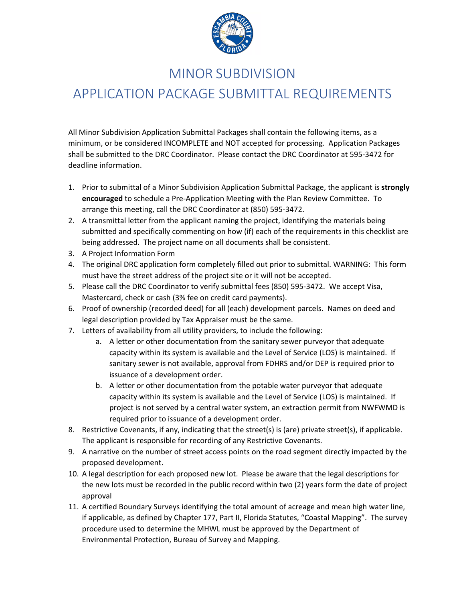

### MINOR SUBDIVISION

# APPLICATION PACKAGE SUBMITTAL REQUIREMENTS

All Minor Subdivision Application Submittal Packages shall contain the following items, as a minimum, or be considered INCOMPLETE and NOT accepted for processing. Application Packages shall be submitted to the DRC Coordinator. Please contact the DRC Coordinator at 595-3472 for deadline information.

- 1. Prior to submittal of a Minor Subdivision Application Submittal Package, the applicant is **strongly encouraged** to schedule a Pre-Application Meeting with the Plan Review Committee. To arrange this meeting, call the DRC Coordinator at (850) 595-3472.
- 2. A transmittal letter from the applicant naming the project, identifying the materials being submitted and specifically commenting on how (if) each of the requirements in this checklist are being addressed. The project name on all documents shall be consistent.
- 3. A Project Information Form
- 4. The original DRC application form completely filled out prior to submittal. WARNING: This form must have the street address of the project site or it will not be accepted.
- 5. Please call the DRC Coordinator to verify submittal fees (850) 595-3472. We accept Visa, Mastercard, check or cash (3% fee on credit card payments).
- 6. Proof of ownership (recorded deed) for all (each) development parcels. Names on deed and legal description provided by Tax Appraiser must be the same.
- 7. Letters of availability from all utility providers, to include the following:
	- a. A letter or other documentation from the sanitary sewer purveyor that adequate capacity within its system is available and the Level of Service (LOS) is maintained. If sanitary sewer is not available, approval from FDHRS and/or DEP is required prior to issuance of a development order.
	- b. A letter or other documentation from the potable water purveyor that adequate capacity within its system is available and the Level of Service (LOS) is maintained. If project is not served by a central water system, an extraction permit from NWFWMD is required prior to issuance of a development order.
- 8. Restrictive Covenants, if any, indicating that the street(s) is (are) private street(s), if applicable. The applicant is responsible for recording of any Restrictive Covenants.
- 9. A narrative on the number of street access points on the road segment directly impacted by the proposed development.
- 10. A legal description for each proposed new lot. Please be aware that the legal descriptions for the new lots must be recorded in the public record within two (2) years form the date of project approval
- 11. A certified Boundary Surveys identifying the total amount of acreage and mean high water line, if applicable, as defined by Chapter 177, Part II, Florida Statutes, "Coastal Mapping". The survey procedure used to determine the MHWL must be approved by the Department of Environmental Protection, Bureau of Survey and Mapping.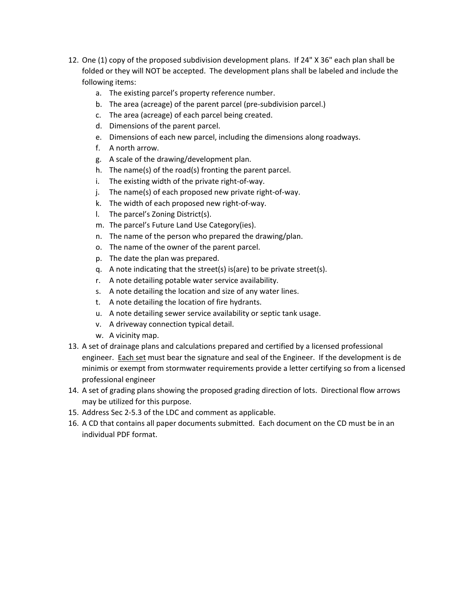- 12. One (1) copy of the proposed subdivision development plans. If 24" X 36" each plan shall be folded or they will NOT be accepted. The development plans shall be labeled and include the following items:
	- a. The existing parcel's property reference number.
	- b. The area (acreage) of the parent parcel (pre-subdivision parcel.)
	- c. The area (acreage) of each parcel being created.
	- d. Dimensions of the parent parcel.
	- e. Dimensions of each new parcel, including the dimensions along roadways.
	- f. A north arrow.
	- g. A scale of the drawing/development plan.
	- h. The name(s) of the road(s) fronting the parent parcel.
	- i. The existing width of the private right-of-way.
	- j. The name(s) of each proposed new private right-of-way.
	- k. The width of each proposed new right-of-way.
	- l. The parcel's Zoning District(s).
	- m. The parcel's Future Land Use Category(ies).
	- n. The name of the person who prepared the drawing/plan.
	- o. The name of the owner of the parent parcel.
	- p. The date the plan was prepared.
	- q. A note indicating that the street(s) is(are) to be private street(s).
	- r. A note detailing potable water service availability.
	- s. A note detailing the location and size of any water lines.
	- t. A note detailing the location of fire hydrants.
	- u. A note detailing sewer service availability or septic tank usage.
	- v. A driveway connection typical detail.
	- w. A vicinity map.
- 13. A set of drainage plans and calculations prepared and certified by a licensed professional engineer. Each set must bear the signature and seal of the Engineer. If the development is de minimis or exempt from stormwater requirements provide a letter certifying so from a licensed professional engineer
- 14. A set of grading plans showing the proposed grading direction of lots. Directional flow arrows may be utilized for this purpose.
- 15. Address Sec 2-5.3 of the LDC and comment as applicable.
- 16. A CD that contains all paper documents submitted. Each document on the CD must be in an individual PDF format.